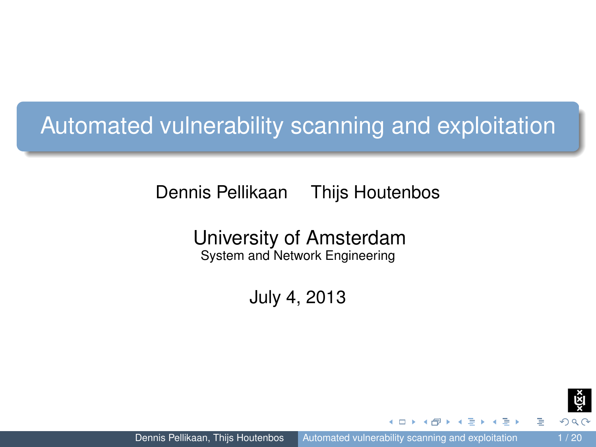# Automated vulnerability scanning and exploitation

Dennis Pellikaan Thijs Houtenbos

University of Amsterdam System and Network Engineering

July 4, 2013

<span id="page-0-0"></span>

**FRANCIS**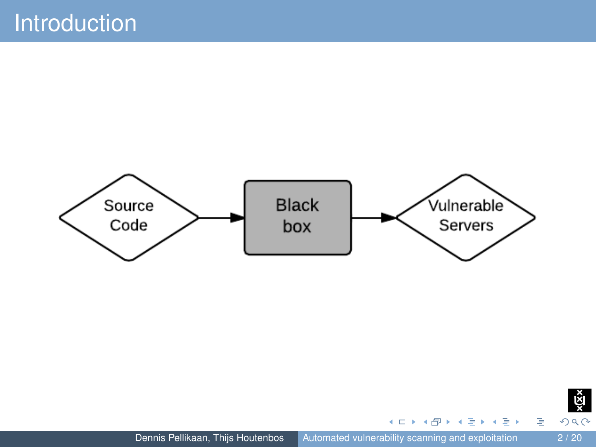



重

イロト イ団 トイモト イモト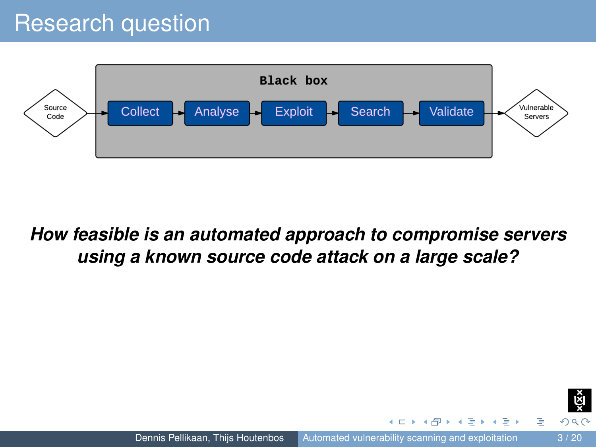# Research question



#### *How feasible is an automated approach to compromise servers using a known source code attack on a large scale?*



 $\mathbb{R}$  is

 $\mathcal{A}$  .

 $\leftarrow$   $\Box$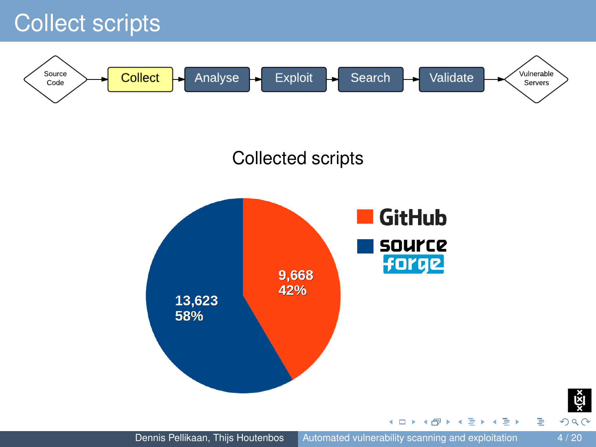### Collect scripts

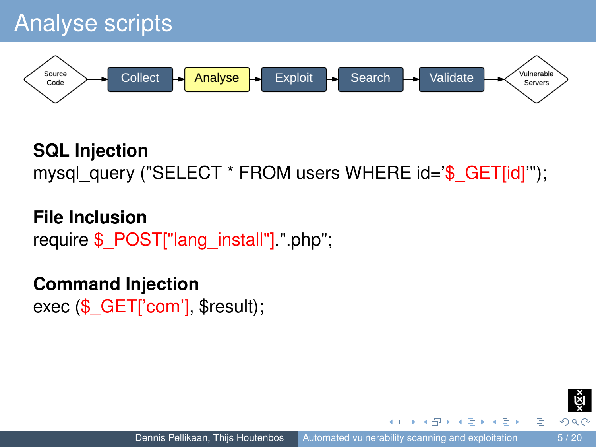

### **SQL Injection** mysql\_query ("SELECT \* FROM users WHERE id='\$\_GET[id]'");

**File Inclusion** require \$\_POST["lang\_install"].".php";

# **Command Injection**

exec (\$ GET['com'], \$result);

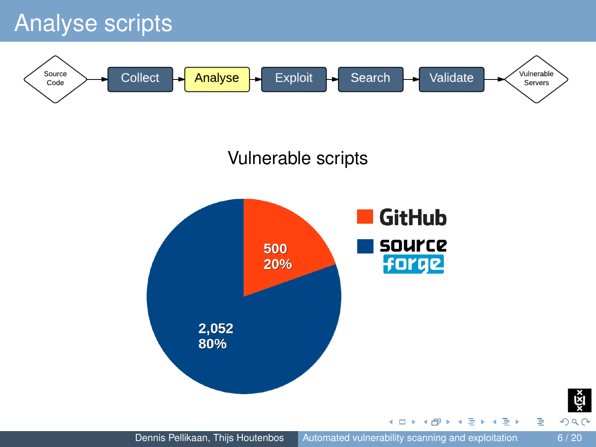# Analyse scripts

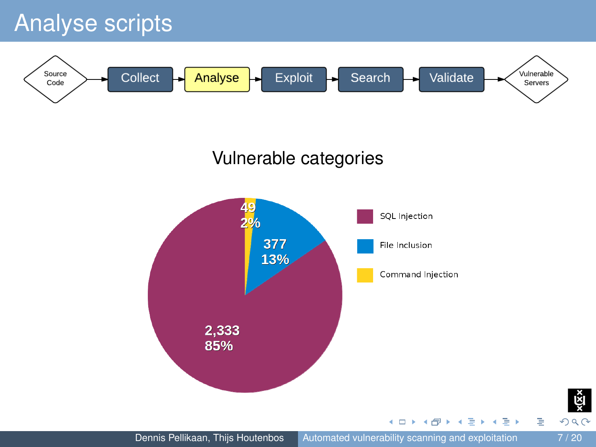# Analyse scripts



#### Vulnerable categories





E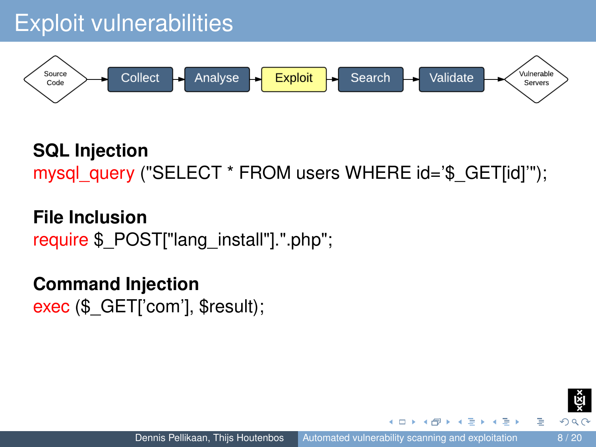

### **SQL Injection** mysql\_query ("SELECT \* FROM users WHERE id='\$\_GET[id]'");

**File Inclusion** require \$ POST["lang\_install"].".php";

### **Command Injection** exec (\$ GET['com'], \$result);

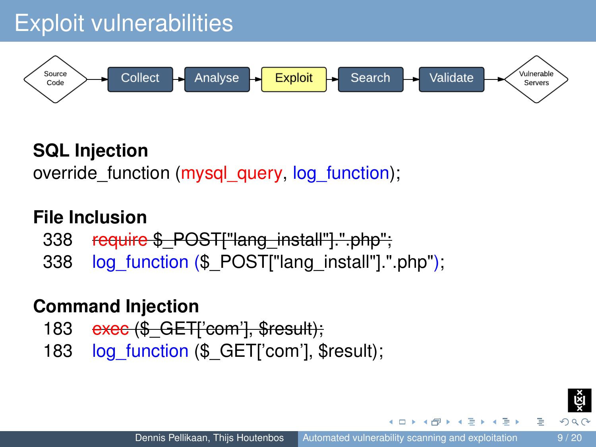

### **SQL Injection**

override function (mysql\_query, log\_function);

#### **File Inclusion**

- 338 require \$ POST["lang\_install"].".php";
- 338 log\_function (\$\_POST["lang\_install"].".php");

#### **Command Injection**

- 183 exec (\$ GET['com'], \$result);
- 183 log\_function (\$\_GET['com'], \$result);

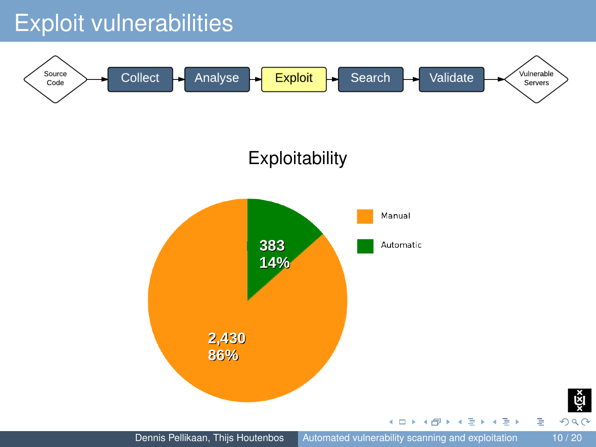# Exploit vulnerabilities

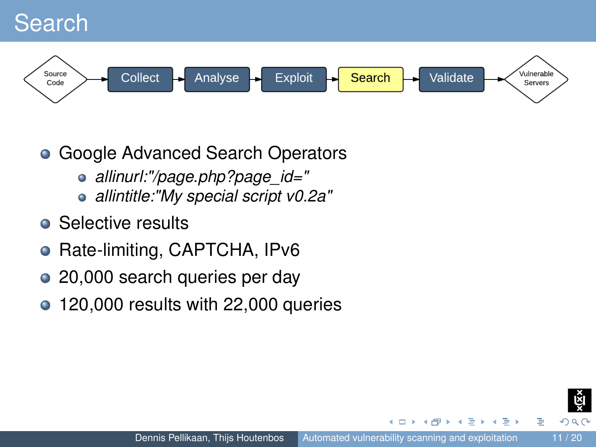### Search



- Google Advanced Search Operators  $\bullet$ 
	- *allinurl:"/page.php?page\_id="*
	- *allintitle:"My special script v0.2a"*
- Selective results
- Rate-limiting, CAPTCHA, IPv6  $\bullet$
- $\bullet$ 20,000 search queries per day
- 120,000 results with 22,000 queries  $\bullet$

 $\Omega$   $\Omega$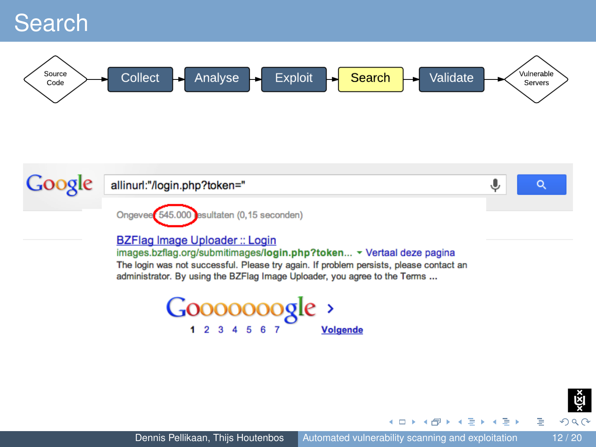### Search







 $299$ 

 $\left\{ \begin{array}{ccc} 1 & 0 & 0 \\ 0 & 1 & 0 \\ 0 & 0 & 0 \end{array} \right.$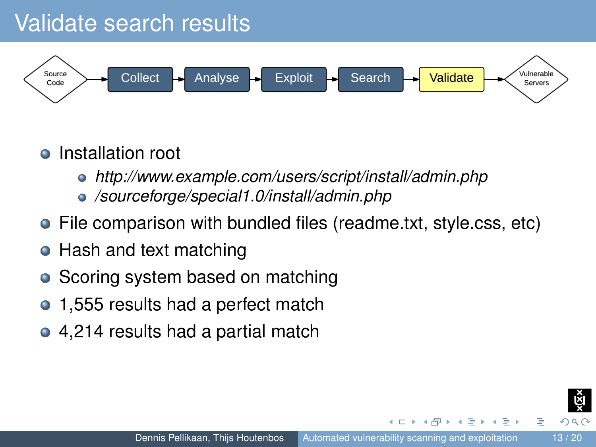# Validate search results



#### Installation root

- *http://www.example.com/users/script/install/admin.php*
- */sourceforge/special1.0/install/admin.php*
- File comparison with bundled files (readme.txt, style.css, etc)
- Hash and text matching
- Scoring system based on matching  $\bullet$
- 1,555 results had a perfect match
- 4,214 results had a partial match

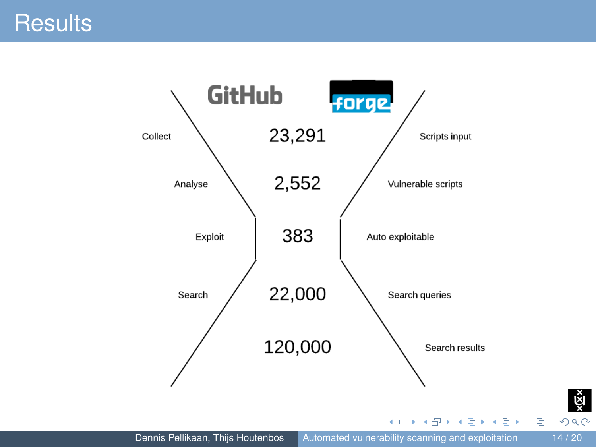



 $299$ 

È

řй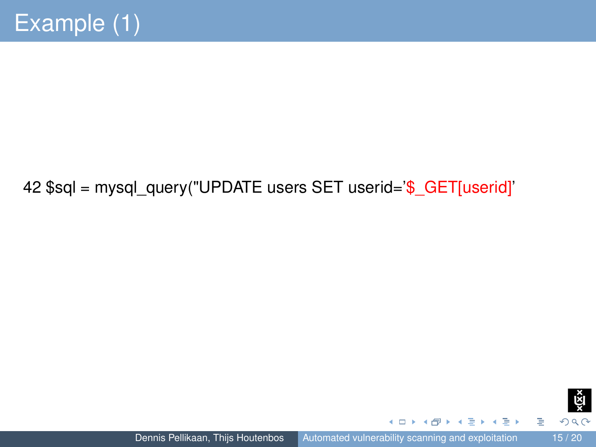#### 42 \$sql = mysql\_query("UPDATE users SET userid='\$\_GET[userid]'



重

 $\leftarrow$   $\Box$ 

 $\overline{AB}$   $\rightarrow$   $\overline{AB}$   $\rightarrow$   $\overline{AB}$   $\rightarrow$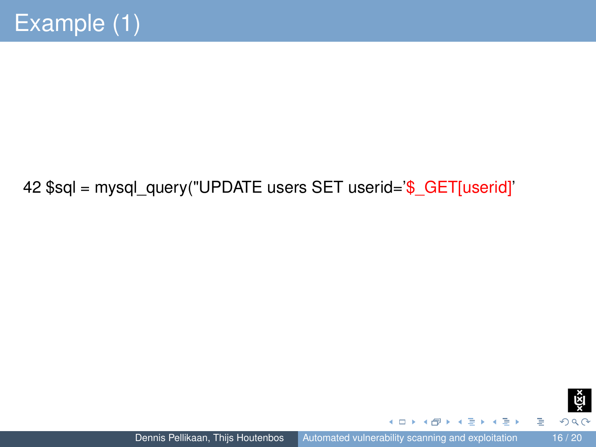#### 42 \$sql = mysql\_query("UPDATE users SET userid='\$\_GET[userid]'



重

 $\leftarrow$   $\Box$ 

 $\overline{AB}$   $\rightarrow$   $\overline{AB}$   $\rightarrow$   $\overline{AB}$   $\rightarrow$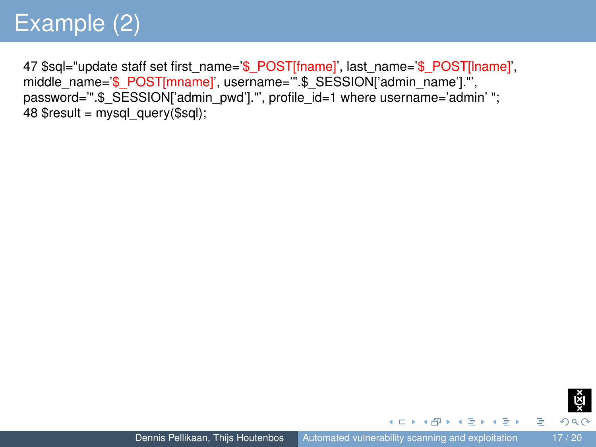47 \$sql="update staff set first\_name='\$\_POST[fname]', last\_name='\$\_POST[lname]', middle\_name='\$\_POST[mname]', username='".\$\_SESSION['admin\_name']."', password="".\$ SESSION['admin\_pwd']."', profile\_id=1 where username='admin'"; 48  $S$ result = mysql\_query( $S$ sql);

э

イロトメ 御 トメ 著 トメ 著 トー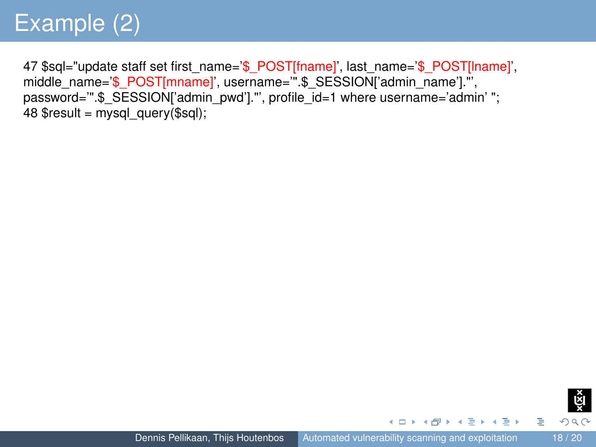47 \$sql="update staff set first\_name='\$\_POST[fname]', last\_name='\$\_POST[lname]', middle\_name='\$\_POST[mname]', username='".\$\_SESSION['admin\_name']."', password="".\$ SESSION['admin\_pwd']."', profile\_id=1 where username='admin'"; 48  $S$ result = mysql\_query( $S$ sql);



э

イロトメ 御 トメ 著 トメ 著 トー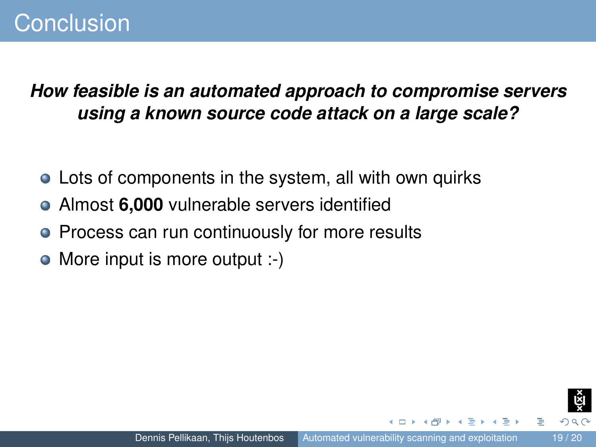#### *How feasible is an automated approach to compromise servers using a known source code attack on a large scale?*

- Lots of components in the system, all with own quirks
- Almost **6,000** vulnerable servers identified
- Process can run continuously for more results
- $\bullet$ More input is more output :-)